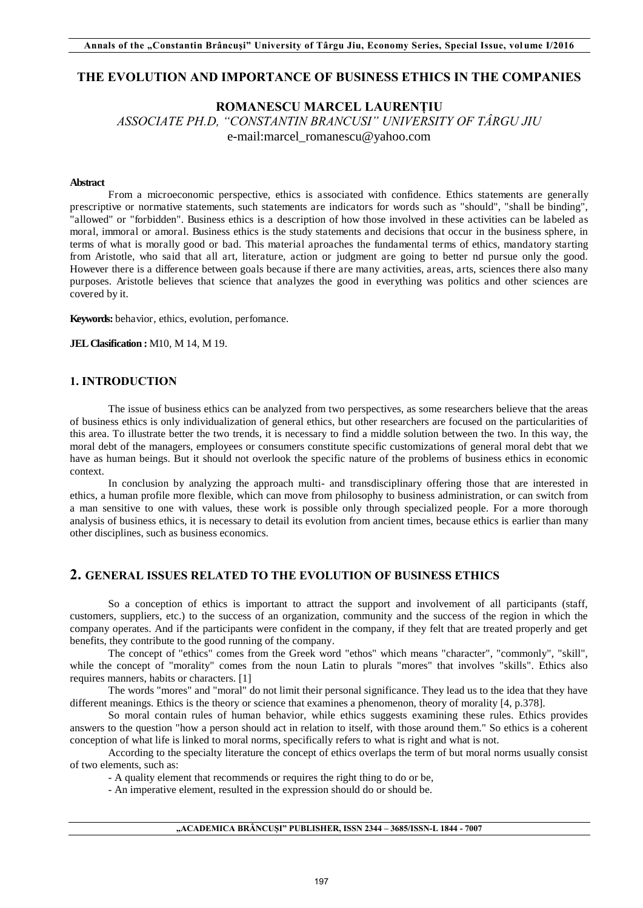# **THE EVOLUTION AND IMPORTANCE OF BUSINESS ETHICS IN THE COMPANIES**

# **ROMANESCU MARCEL LAURENȚIU**

*ASSOCIATE PH.D, "CONSTANTIN BRANCUSI" UNIVERSITY OF TÂRGU JIU*  e-mail:marcel\_romanescu@yahoo.com

# **Abstract**

From a microeconomic perspective, ethics is associated with confidence. Ethics statements are generally prescriptive or normative statements, such statements are indicators for words such as "should", "shall be binding", "allowed" or "forbidden". Business ethics is a description of how those involved in these activities can be labeled as moral, immoral or amoral. Business ethics is the study statements and decisions that occur in the business sphere, in terms of what is morally good or bad. This material aproaches the fundamental terms of ethics, mandatory starting from Aristotle, who said that all art, literature, action or judgment are going to better nd pursue only the good. However there is a difference between goals because if there are many activities, areas, arts, sciences there also many purposes. Aristotle believes that science that analyzes the good in everything was politics and other sciences are covered by it.

**Keywords:** behavior, ethics, evolution, perfomance.

**JEL Clasification :** M10, M 14, M 19.

# **1. INTRODUCTION**

The issue of business ethics can be analyzed from two perspectives, as some researchers believe that the areas of business ethics is only individualization of general ethics, but other researchers are focused on the particularities of this area. To illustrate better the two trends, it is necessary to find a middle solution between the two. In this way, the moral debt of the managers, employees or consumers constitute specific customizations of general moral debt that we have as human beings. But it should not overlook the specific nature of the problems of business ethics in economic context.

In conclusion by analyzing the approach multi- and transdisciplinary offering those that are interested in ethics, a human profile more flexible, which can move from philosophy to business administration, or can switch from a man sensitive to one with values, these work is possible only through specialized people. For a more thorough analysis of business ethics, it is necessary to detail its evolution from ancient times, because ethics is earlier than many other disciplines, such as business economics.

# **2. GENERAL ISSUES RELATED TO THE EVOLUTION OF BUSINESS ETHICS**

So a conception of ethics is important to attract the support and involvement of all participants (staff, customers, suppliers, etc.) to the success of an organization, community and the success of the region in which the company operates. And if the participants were confident in the company, if they felt that are treated properly and get benefits, they contribute to the good running of the company.

The concept of "ethics" comes from the Greek word "ethos" which means "character", "commonly", "skill", while the concept of "morality" comes from the noun Latin to plurals "mores" that involves "skills". Ethics also requires manners, habits or characters. [1]

The words "mores" and "moral" do not limit their personal significance. They lead us to the idea that they have different meanings. Ethics is the theory or science that examines a phenomenon, theory of morality [4, p.378].

So moral contain rules of human behavior, while ethics suggests examining these rules. Ethics provides answers to the question "how a person should act in relation to itself, with those around them." So ethics is a coherent conception of what life is linked to moral norms, specifically refers to what is right and what is not.

According to the specialty literature the concept of ethics overlaps the term of but moral norms usually consist of two elements, such as:

- A quality element that recommends or requires the right thing to do or be,

- An imperative element, resulted in the expression should do or should be.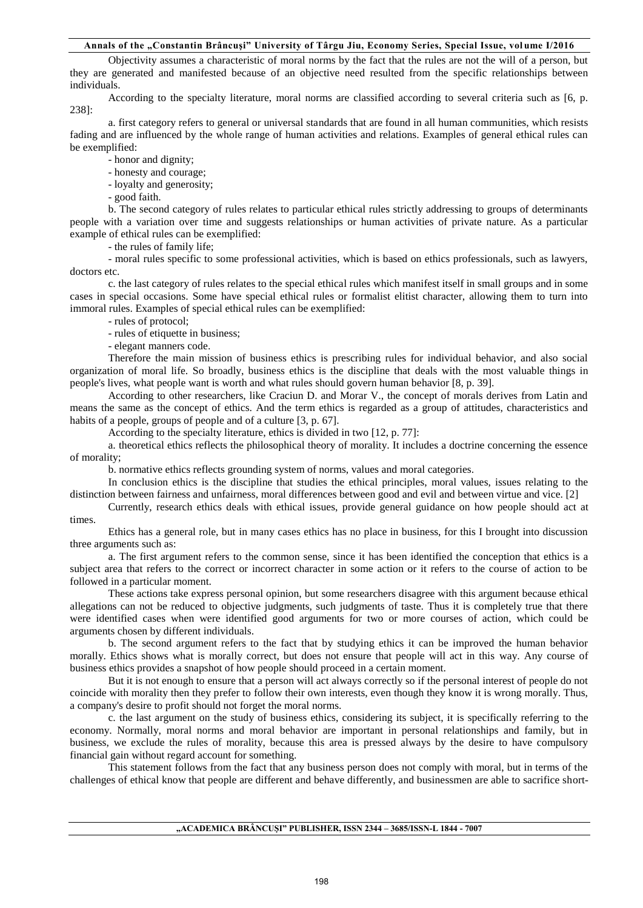# **Annals of the "Constantin Brâncuşi" University of Târgu Jiu, Economy Series, Special Issue, vol ume I/2016**

Objectivity assumes a characteristic of moral norms by the fact that the rules are not the will of a person, but they are generated and manifested because of an objective need resulted from the specific relationships between individuals.

According to the specialty literature, moral norms are classified according to several criteria such as [6, p. 238]:

a. first category refers to general or universal standards that are found in all human communities, which resists fading and are influenced by the whole range of human activities and relations. Examples of general ethical rules can be exemplified:

- honor and dignity;

- honesty and courage;

- loyalty and generosity;

- good faith.

b. The second category of rules relates to particular ethical rules strictly addressing to groups of determinants people with a variation over time and suggests relationships or human activities of private nature. As a particular example of ethical rules can be exemplified:

- the rules of family life;

- moral rules specific to some professional activities, which is based on ethics professionals, such as lawyers, doctors etc.

c. the last category of rules relates to the special ethical rules which manifest itself in small groups and in some cases in special occasions. Some have special ethical rules or formalist elitist character, allowing them to turn into immoral rules. Examples of special ethical rules can be exemplified:

- rules of protocol;

- rules of etiquette in business;

- elegant manners code.

Therefore the main mission of business ethics is prescribing rules for individual behavior, and also social organization of moral life. So broadly, business ethics is the discipline that deals with the most valuable things in people's lives, what people want is worth and what rules should govern human behavior [8, p. 39].

According to other researchers, like Craciun D. and Morar V., the concept of morals derives from Latin and means the same as the concept of ethics. And the term ethics is regarded as a group of attitudes, characteristics and habits of a people, groups of people and of a culture [3, p. 67].

According to the specialty literature, ethics is divided in two [12, p. 77]:

a. theoretical ethics reflects the philosophical theory of morality. It includes a doctrine concerning the essence of morality;

b. normative ethics reflects grounding system of norms, values and moral categories.

In conclusion ethics is the discipline that studies the ethical principles, moral values, issues relating to the distinction between fairness and unfairness, moral differences between good and evil and between virtue and vice. [2]

Currently, research ethics deals with ethical issues, provide general guidance on how people should act at times.

Ethics has a general role, but in many cases ethics has no place in business, for this I brought into discussion three arguments such as:

a. The first argument refers to the common sense, since it has been identified the conception that ethics is a subject area that refers to the correct or incorrect character in some action or it refers to the course of action to be followed in a particular moment.

These actions take express personal opinion, but some researchers disagree with this argument because ethical allegations can not be reduced to objective judgments, such judgments of taste. Thus it is completely true that there were identified cases when were identified good arguments for two or more courses of action, which could be arguments chosen by different individuals.

b. The second argument refers to the fact that by studying ethics it can be improved the human behavior morally. Ethics shows what is morally correct, but does not ensure that people will act in this way. Any course of business ethics provides a snapshot of how people should proceed in a certain moment.

But it is not enough to ensure that a person will act always correctly so if the personal interest of people do not coincide with morality then they prefer to follow their own interests, even though they know it is wrong morally. Thus, a company's desire to profit should not forget the moral norms.

c. the last argument on the study of business ethics, considering its subject, it is specifically referring to the economy. Normally, moral norms and moral behavior are important in personal relationships and family, but in business, we exclude the rules of morality, because this area is pressed always by the desire to have compulsory financial gain without regard account for something.

This statement follows from the fact that any business person does not comply with moral, but in terms of the challenges of ethical know that people are different and behave differently, and businessmen are able to sacrifice short-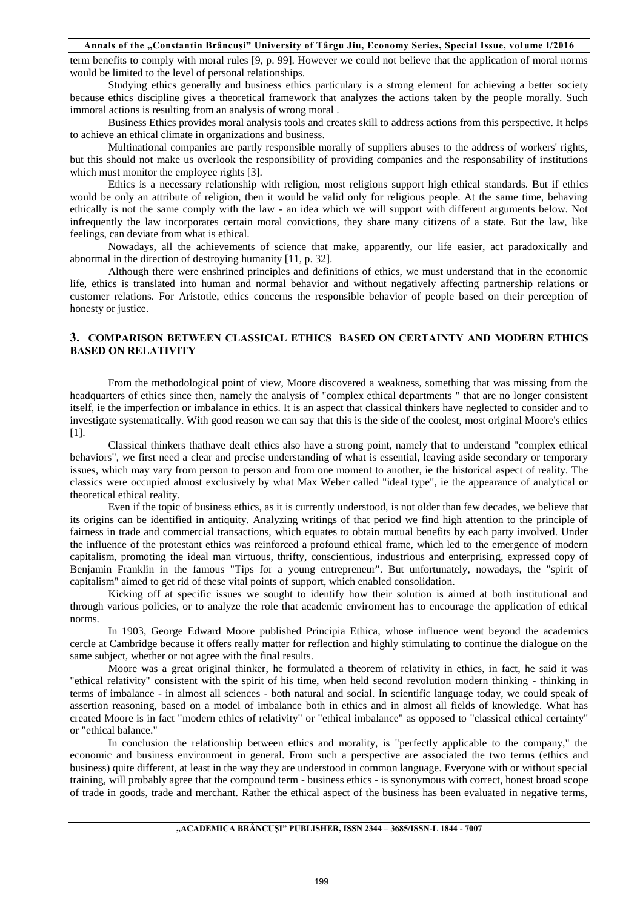#### **Annals of the "Constantin Brâncuşi" University of Târgu Jiu, Economy Series, Special Issue, vol ume I/2016**

term benefits to comply with moral rules [9, p. 99]. However we could not believe that the application of moral norms would be limited to the level of personal relationships.

Studying ethics generally and business ethics particulary is a strong element for achieving a better society because ethics discipline gives a theoretical framework that analyzes the actions taken by the people morally. Such immoral actions is resulting from an analysis of wrong moral .

Business Ethics provides moral analysis tools and creates skill to address actions from this perspective. It helps to achieve an ethical climate in organizations and business.

Multinational companies are partly responsible morally of suppliers abuses to the address of workers' rights, but this should not make us overlook the responsibility of providing companies and the responsability of institutions which must monitor the employee rights [3].

 Ethics is a necessary relationship with religion, most religions support high ethical standards. But if ethics would be only an attribute of religion, then it would be valid only for religious people. At the same time, behaving ethically is not the same comply with the law - an idea which we will support with different arguments below. Not infrequently the law incorporates certain moral convictions, they share many citizens of a state. But the law, like feelings, can deviate from what is ethical.

Nowadays, all the achievements of science that make, apparently, our life easier, act paradoxically and abnormal in the direction of destroying humanity [11, p. 32].

Although there were enshrined principles and definitions of ethics, we must understand that in the economic life, ethics is translated into human and normal behavior and without negatively affecting partnership relations or customer relations. For Aristotle, ethics concerns the responsible behavior of people based on their perception of honesty or justice.

# **3. COMPARISON BETWEEN CLASSICAL ETHICS BASED ON CERTAINTY AND MODERN ETHICS BASED ON RELATIVITY**

From the methodological point of view, Moore discovered a weakness, something that was missing from the headquarters of ethics since then, namely the analysis of "complex ethical departments " that are no longer consistent itself, ie the imperfection or imbalance in ethics. It is an aspect that classical thinkers have neglected to consider and to investigate systematically. With good reason we can say that this is the side of the coolest, most original Moore's ethics [1].

 Classical thinkers thathave dealt ethics also have a strong point, namely that to understand "complex ethical behaviors", we first need a clear and precise understanding of what is essential, leaving aside secondary or temporary issues, which may vary from person to person and from one moment to another, ie the historical aspect of reality. The classics were occupied almost exclusively by what Max Weber called "ideal type", ie the appearance of analytical or theoretical ethical reality.

Even if the topic of business ethics, as it is currently understood, is not older than few decades, we believe that its origins can be identified in antiquity. Analyzing writings of that period we find high attention to the principle of fairness in trade and commercial transactions, which equates to obtain mutual benefits by each party involved. Under the influence of the protestant ethics was reinforced a profound ethical frame, which led to the emergence of modern capitalism, promoting the ideal man virtuous, thrifty, conscientious, industrious and enterprising, expressed copy of Benjamin Franklin in the famous "Tips for a young entrepreneur". But unfortunately, nowadays, the "spirit of capitalism" aimed to get rid of these vital points of support, which enabled consolidation.

Kicking off at specific issues we sought to identify how their solution is aimed at both institutional and through various policies, or to analyze the role that academic enviroment has to encourage the application of ethical norms.

In 1903, George Edward Moore published Principia Ethica, whose influence went beyond the academics cercle at Cambridge because it offers really matter for reflection and highly stimulating to continue the dialogue on the same subject, whether or not agree with the final results.

Moore was a great original thinker, he formulated a theorem of relativity in ethics, in fact, he said it was "ethical relativity" consistent with the spirit of his time, when held second revolution modern thinking - thinking in terms of imbalance - in almost all sciences - both natural and social. In scientific language today, we could speak of assertion reasoning, based on a model of imbalance both in ethics and in almost all fields of knowledge. What has created Moore is in fact "modern ethics of relativity" or "ethical imbalance" as opposed to "classical ethical certainty" or "ethical balance."

In conclusion the relationship between ethics and morality, is "perfectly applicable to the company," the economic and business environment in general. From such a perspective are associated the two terms (ethics and business) quite different, at least in the way they are understood in common language. Everyone with or without special training, will probably agree that the compound term - business ethics - is synonymous with correct, honest broad scope of trade in goods, trade and merchant. Rather the ethical aspect of the business has been evaluated in negative terms,

#### **"ACADEMICA BRÂNCUŞI" PUBLISHER, ISSN 2344 – 3685/ISSN-L 1844 - 7007**